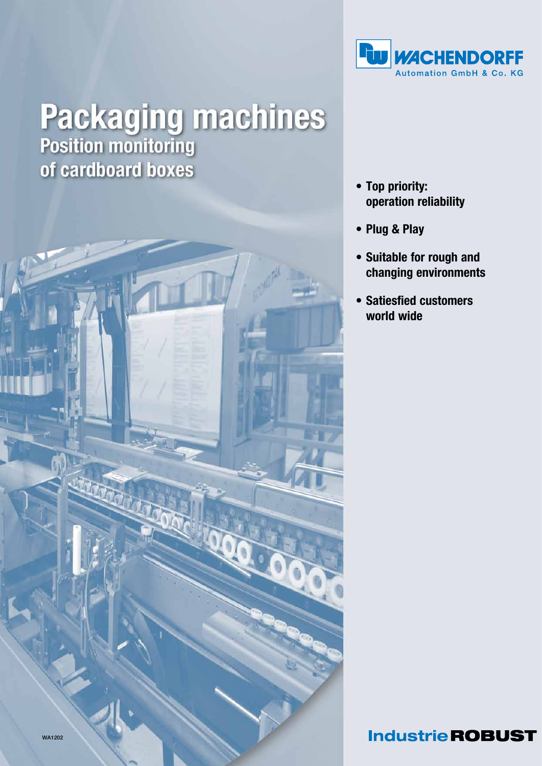

# **Packaging machines**<br>Position monitoring of cardboard boxes



- Top priority: operation reliability
- • Plug & Play
- • Suitable for rough and changing environments
- • Satiesfied customers world wide

### **Industrie ROBUST**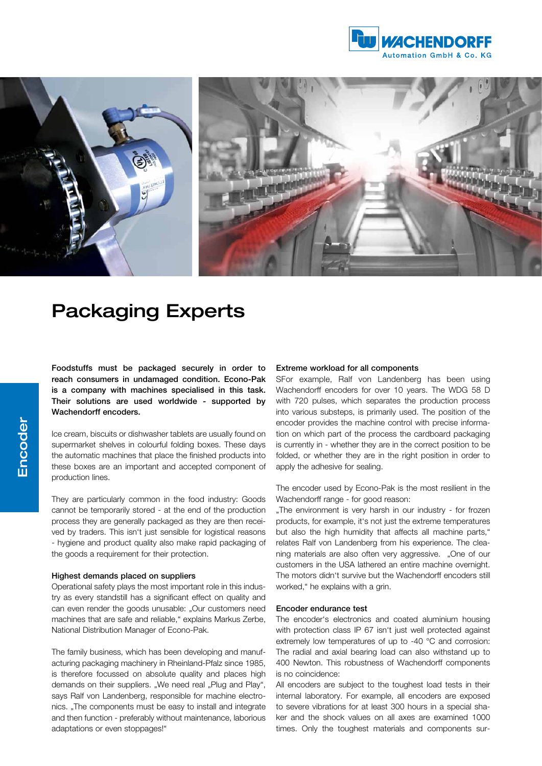



## Packaging Experts

Foodstuffs must be packaged securely in order to reach consumers in undamaged condition. Econo-Pak is a company with machines specialised in this task. Their solutions are used worldwide - supported by Wachendorff encoders.

Ice cream, biscuits or dishwasher tablets are usually found on supermarket shelves in colourful folding boxes. These days the automatic machines that place the finished products into these boxes are an important and accepted component of production lines.

They are particularly common in the food industry: Goods cannot be temporarily stored - at the end of the production process they are generally packaged as they are then received by traders. This isn't just sensible for logistical reasons - hygiene and product quality also make rapid packaging of the goods a requirement for their protection.

#### Highest demands placed on suppliers

Operational safety plays the most important role in this industry as every standstill has a significant effect on quality and can even render the goods unusable: "Our customers need machines that are safe and reliable," explains Markus Zerbe, National Distribution Manager of Econo-Pak.

The family business, which has been developing and manufacturing packaging machinery in Rheinland-Pfalz since 1985, is therefore focussed on absolute quality and places high demands on their suppliers. "We need real "Plug and Play". says Ralf von Landenberg, responsible for machine electronics. "The components must be easy to install and integrate and then function - preferably without maintenance, laborious adaptations or even stoppages!"

#### Extreme workload for all components

SFor example, Ralf von Landenberg has been using Wachendorff encoders for over 10 years. The WDG 58 D with 720 pulses, which separates the production process into various substeps, is primarily used. The position of the encoder provides the machine control with precise information on which part of the process the cardboard packaging is currently in - whether they are in the correct position to be folded, or whether they are in the right position in order to apply the adhesive for sealing.

The encoder used by Econo-Pak is the most resilient in the Wachendorff range - for good reason:

"The environment is very harsh in our industry - for frozen products, for example, it's not just the extreme temperatures but also the high humidity that affects all machine parts," relates Ralf von Landenberg from his experience. The cleaning materials are also often very aggressive. "One of our customers in the USA lathered an entire machine overnight. The motors didn't survive but the Wachendorff encoders still worked," he explains with a grin.

#### Encoder endurance test

The encoder's electronics and coated aluminium housing with protection class IP 67 isn't just well protected against extremely low temperatures of up to -40 °C and corrosion: The radial and axial bearing load can also withstand up to 400 Newton. This robustness of Wachendorff components is no coincidence:

All encoders are subject to the toughest load tests in their internal laboratory. For example, all encoders are exposed to severe vibrations for at least 300 hours in a special shaker and the shock values on all axes are examined 1000 times. Only the toughest materials and components sur-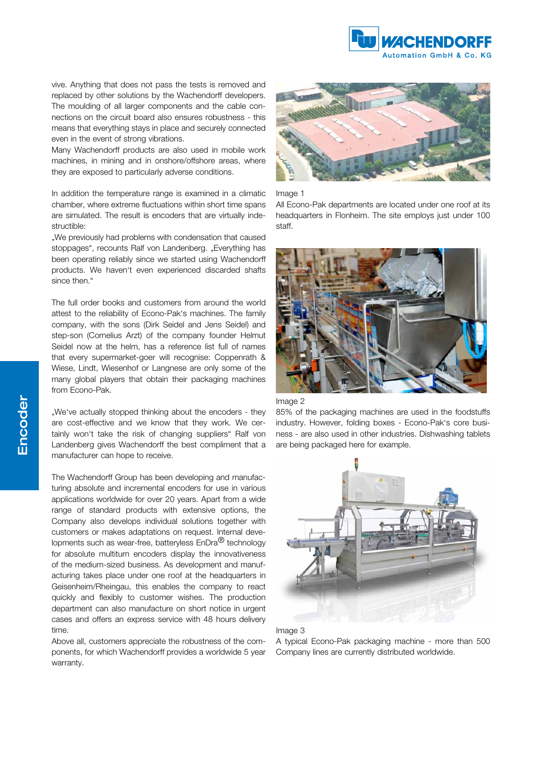

vive. Anything that does not pass the tests is removed and replaced by other solutions by the Wachendorff developers. The moulding of all larger components and the cable connections on the circuit board also ensures robustness - this means that everything stays in place and securely connected even in the event of strong vibrations.

Many Wachendorff products are also used in mobile work machines, in mining and in onshore/offshore areas, where they are exposed to particularly adverse conditions.

In addition the temperature range is examined in a climatic chamber, where extreme fluctuations within short time spans are simulated. The result is encoders that are virtually indestructible:

. We previously had problems with condensation that caused stoppages", recounts Ralf von Landenberg. "Everything has been operating reliably since we started using Wachendorff products. We haven't even experienced discarded shafts since then."

The full order books and customers from around the world attest to the reliability of Econo-Pak's machines. The family company, with the sons (Dirk Seidel and Jens Seidel) and step-son (Cornelius Arzt) of the company founder Helmut Seidel now at the helm, has a reference list full of names that every supermarket-goer will recognise: Coppenrath & Wiese, Lindt, Wiesenhof or Langnese are only some of the many global players that obtain their packaging machines from Econo-Pak.

"We've actually stopped thinking about the encoders - they are cost-effective and we know that they work. We certainly won't take the risk of changing suppliers" Ralf von Landenberg gives Wachendorff the best compliment that a manufacturer can hope to receive.

The Wachendorff Group has been developing and manufacturing absolute and incremental encoders for use in various applications worldwide for over 20 years. Apart from a wide range of standard products with extensive options, the Company also develops individual solutions together with customers or makes adaptations on request. Internal developments such as wear-free, batteryless EnDra<sup>®</sup> technology for absolute multiturn encoders display the innovativeness of the medium-sized business. As development and manufacturing takes place under one roof at the headquarters in Geisenheim/Rheingau, this enables the company to react quickly and flexibly to customer wishes. The production department can also manufacture on short notice in urgent cases and offers an express service with 48 hours delivery time.

Above all, customers appreciate the robustness of the components, for which Wachendorff provides a worldwide 5 year warranty.



Image 1

All Econo-Pak departments are located under one roof at its headquarters in Flonheim. The site employs just under 100 staff.





85% of the packaging machines are used in the foodstuffs industry. However, folding boxes - Econo-Pak's core business - are also used in other industries. Dishwashing tablets are being packaged here for example.





A typical Econo-Pak packaging machine - more than 500 Company lines are currently distributed worldwide.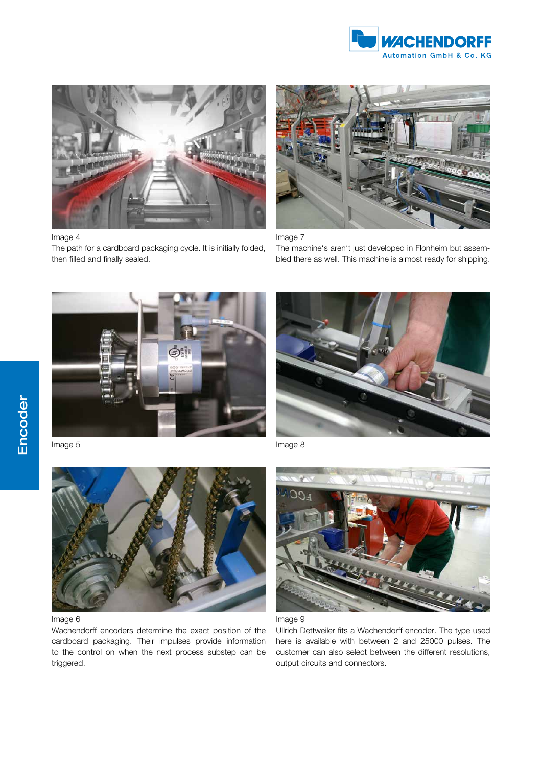



#### Image 4

The path for a cardboard packaging cycle. It is initially folded, then filled and finally sealed.



Image 7

The machine's aren't just developed in Flonheim but assembled there as well. This machine is almost ready for shipping.





Image 5



#### Image 6

Wachendorff encoders determine the exact position of the cardboard packaging. Their impulses provide information to the control on when the next process substep can be triggered.

Image 8





Ullrich Dettweiler fits a Wachendorff encoder. The type used here is available with between 2 and 25000 pulses. The customer can also select between the different resolutions, output circuits and connectors.